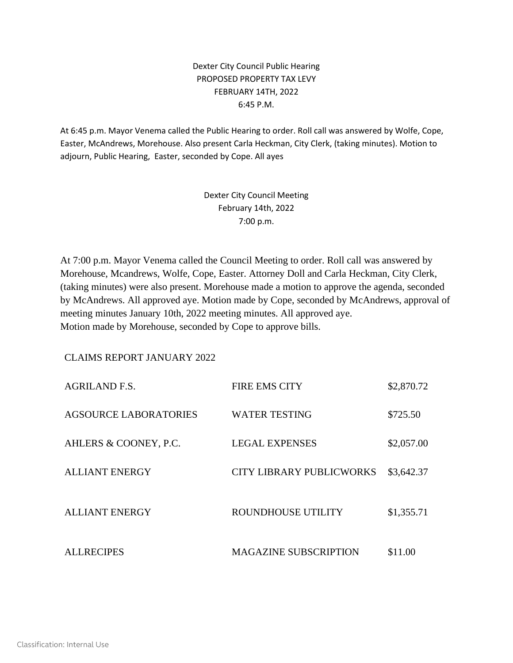## Dexter City Council Public Hearing PROPOSED PROPERTY TAX LEVY FEBRUARY 14TH, 2022 6:45 P.M.

At 6:45 p.m. Mayor Venema called the Public Hearing to order. Roll call was answered by Wolfe, Cope, Easter, McAndrews, Morehouse. Also present Carla Heckman, City Clerk, (taking minutes). Motion to adjourn, Public Hearing, Easter, seconded by Cope. All ayes

> Dexter City Council Meeting February 14th, 2022 7:00 p.m.

At 7:00 p.m. Mayor Venema called the Council Meeting to order. Roll call was answered by Morehouse, Mcandrews, Wolfe, Cope, Easter. Attorney Doll and Carla Heckman, City Clerk, (taking minutes) were also present. Morehouse made a motion to approve the agenda, seconded by McAndrews. All approved aye. Motion made by Cope, seconded by McAndrews, approval of meeting minutes January 10th, 2022 meeting minutes. All approved aye. Motion made by Morehouse, seconded by Cope to approve bills.

CLAIMS REPORT JANUARY 2022

| <b>AGRILAND F.S.</b>  | <b>FIRE EMS CITY</b>            | \$2,870.72 |
|-----------------------|---------------------------------|------------|
| AGSOURCE LABORATORIES | <b>WATER TESTING</b>            | \$725.50   |
| AHLERS & COONEY, P.C. | <b>LEGAL EXPENSES</b>           | \$2,057.00 |
| <b>ALLIANT ENERGY</b> | <b>CITY LIBRARY PUBLICWORKS</b> | \$3,642.37 |
| <b>ALLIANT ENERGY</b> | ROUNDHOUSE UTILITY              | \$1,355.71 |
| <b>ALLRECIPES</b>     | <b>MAGAZINE SUBSCRIPTION</b>    | \$11.00    |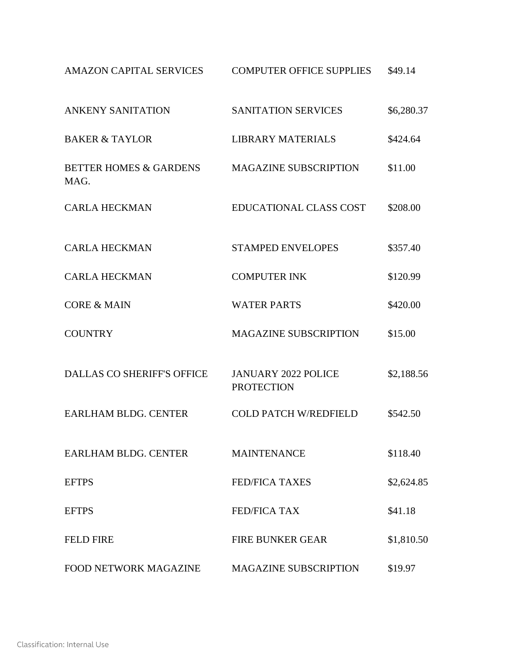| <b>AMAZON CAPITAL SERVICES</b>            | <b>COMPUTER OFFICE SUPPLIES</b>                 | \$49.14    |
|-------------------------------------------|-------------------------------------------------|------------|
| <b>ANKENY SANITATION</b>                  | <b>SANITATION SERVICES</b>                      | \$6,280.37 |
| <b>BAKER &amp; TAYLOR</b>                 | <b>LIBRARY MATERIALS</b>                        | \$424.64   |
| <b>BETTER HOMES &amp; GARDENS</b><br>MAG. | <b>MAGAZINE SUBSCRIPTION</b>                    | \$11.00    |
| <b>CARLA HECKMAN</b>                      | <b>EDUCATIONAL CLASS COST</b>                   | \$208.00   |
| <b>CARLA HECKMAN</b>                      | <b>STAMPED ENVELOPES</b>                        | \$357.40   |
| <b>CARLA HECKMAN</b>                      | <b>COMPUTER INK</b>                             | \$120.99   |
| <b>CORE &amp; MAIN</b>                    | <b>WATER PARTS</b>                              | \$420.00   |
| <b>COUNTRY</b>                            | <b>MAGAZINE SUBSCRIPTION</b>                    | \$15.00    |
| <b>DALLAS CO SHERIFF'S OFFICE</b>         | <b>JANUARY 2022 POLICE</b><br><b>PROTECTION</b> | \$2,188.56 |
| <b>EARLHAM BLDG. CENTER</b>               | <b>COLD PATCH W/REDFIELD</b>                    | \$542.50   |
| EARLHAM BLDG, CENTER                      | <b>MAINTENANCE</b>                              | \$118.40   |
| <b>EFTPS</b>                              | <b>FED/FICA TAXES</b>                           | \$2,624.85 |
| <b>EFTPS</b>                              | <b>FED/FICA TAX</b>                             | \$41.18    |
| <b>FELD FIRE</b>                          | <b>FIRE BUNKER GEAR</b>                         | \$1,810.50 |
| <b>FOOD NETWORK MAGAZINE</b>              | <b>MAGAZINE SUBSCRIPTION</b>                    | \$19.97    |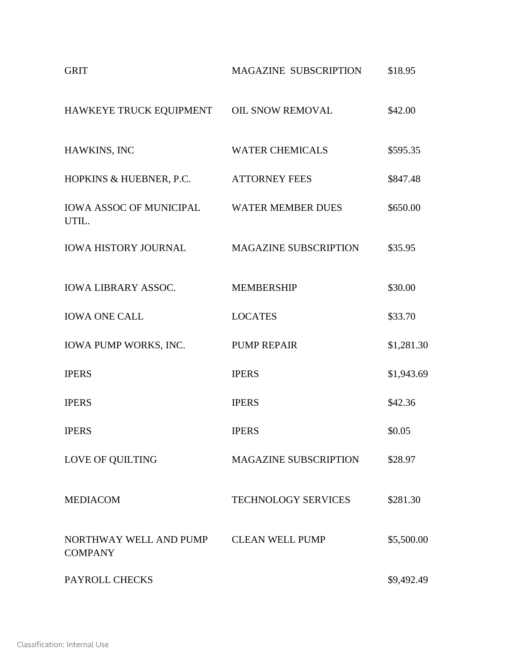| <b>GRIT</b>                                               | MAGAZINE SUBSCRIPTION        | \$18.95    |
|-----------------------------------------------------------|------------------------------|------------|
| HAWKEYE TRUCK EQUIPMENT                                   | OIL SNOW REMOVAL             | \$42.00    |
| HAWKINS, INC                                              | <b>WATER CHEMICALS</b>       | \$595.35   |
| HOPKINS & HUEBNER, P.C.                                   | <b>ATTORNEY FEES</b>         | \$847.48   |
| <b>IOWA ASSOC OF MUNICIPAL WATER MEMBER DUES</b><br>UTIL. |                              | \$650.00   |
| <b>IOWA HISTORY JOURNAL</b>                               | <b>MAGAZINE SUBSCRIPTION</b> | \$35.95    |
| <b>IOWA LIBRARY ASSOC.</b>                                | <b>MEMBERSHIP</b>            | \$30.00    |
| <b>IOWA ONE CALL</b>                                      | <b>LOCATES</b>               | \$33.70    |
| IOWA PUMP WORKS, INC.                                     | <b>PUMP REPAIR</b>           | \$1,281.30 |
| <b>IPERS</b>                                              | <b>IPERS</b>                 | \$1,943.69 |
| <b>IPERS</b>                                              | <b>IPERS</b>                 | \$42.36    |
| <b>IPERS</b>                                              | <b>IPERS</b>                 | \$0.05     |
| LOVE OF QUILTING                                          | <b>MAGAZINE SUBSCRIPTION</b> | \$28.97    |
| <b>MEDIACOM</b>                                           | <b>TECHNOLOGY SERVICES</b>   | \$281.30   |
| NORTHWAY WELL AND PUMP<br><b>COMPANY</b>                  | <b>CLEAN WELL PUMP</b>       | \$5,500.00 |
| PAYROLL CHECKS                                            |                              | \$9,492.49 |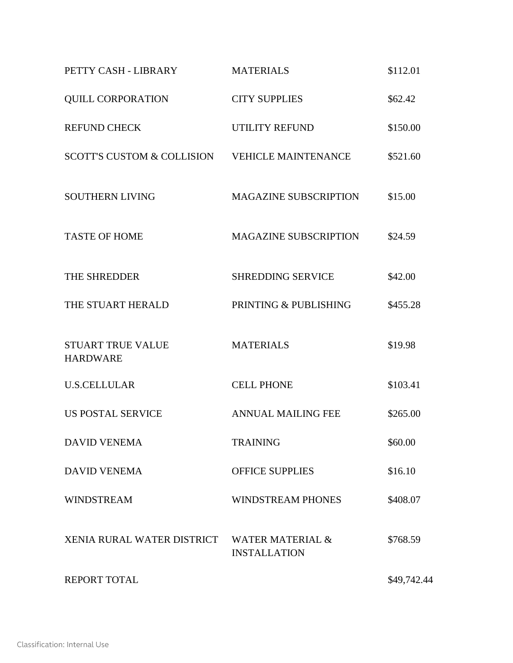| PETTY CASH - LIBRARY                           | <b>MATERIALS</b>                                   | \$112.01    |
|------------------------------------------------|----------------------------------------------------|-------------|
| <b>QUILL CORPORATION</b>                       | <b>CITY SUPPLIES</b>                               | \$62.42     |
| <b>REFUND CHECK</b>                            | <b>UTILITY REFUND</b>                              | \$150.00    |
| SCOTT'S CUSTOM & COLLISION VEHICLE MAINTENANCE |                                                    | \$521.60    |
| <b>SOUTHERN LIVING</b>                         | <b>MAGAZINE SUBSCRIPTION</b>                       | \$15.00     |
| <b>TASTE OF HOME</b>                           | <b>MAGAZINE SUBSCRIPTION</b>                       | \$24.59     |
| THE SHREDDER                                   | <b>SHREDDING SERVICE</b>                           | \$42.00     |
| THE STUART HERALD                              | PRINTING & PUBLISHING                              | \$455.28    |
| <b>STUART TRUE VALUE</b><br><b>HARDWARE</b>    | <b>MATERIALS</b>                                   | \$19.98     |
| <b>U.S.CELLULAR</b>                            | <b>CELL PHONE</b>                                  | \$103.41    |
| <b>US POSTAL SERVICE</b>                       | <b>ANNUAL MAILING FEE</b>                          | \$265.00    |
| <b>DAVID VENEMA</b>                            | <b>TRAINING</b>                                    | \$60.00     |
| <b>DAVID VENEMA</b>                            | <b>OFFICE SUPPLIES</b>                             | \$16.10     |
| <b>WINDSTREAM</b>                              | <b>WINDSTREAM PHONES</b>                           | \$408.07    |
| XENIA RURAL WATER DISTRICT                     | <b>WATER MATERIAL &amp;</b><br><b>INSTALLATION</b> | \$768.59    |
| <b>REPORT TOTAL</b>                            |                                                    | \$49,742.44 |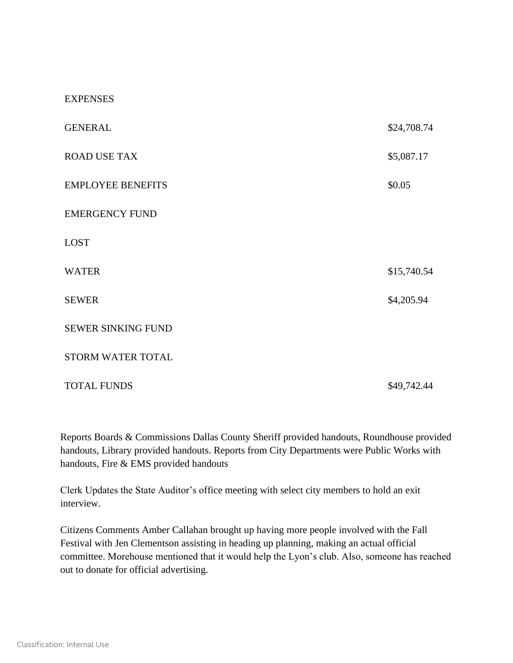## **EXPENSES**

| <b>GENERAL</b>            | \$24,708.74 |
|---------------------------|-------------|
| <b>ROAD USE TAX</b>       | \$5,087.17  |
| <b>EMPLOYEE BENEFITS</b>  | \$0.05      |
| <b>EMERGENCY FUND</b>     |             |
| <b>LOST</b>               |             |
| <b>WATER</b>              | \$15,740.54 |
| <b>SEWER</b>              | \$4,205.94  |
| <b>SEWER SINKING FUND</b> |             |
| STORM WATER TOTAL         |             |
| <b>TOTAL FUNDS</b>        | \$49,742.44 |

Reports Boards & Commissions Dallas County Sheriff provided handouts, Roundhouse provided handouts, Library provided handouts. Reports from City Departments were Public Works with handouts, Fire & EMS provided handouts

Clerk Updates the State Auditor's office meeting with select city members to hold an exit interview.

Citizens Comments Amber Callahan brought up having more people involved with the Fall Festival with Jen Clementson assisting in heading up planning, making an actual official committee. Morehouse mentioned that it would help the Lyon's club. Also, someone has reached out to donate for official advertising.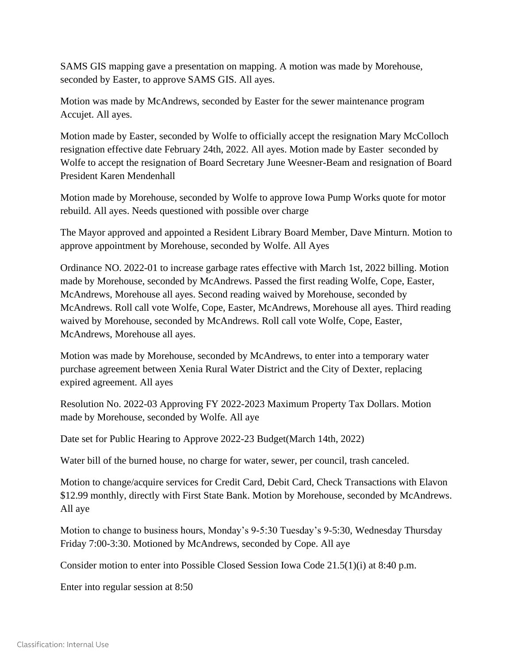SAMS GIS mapping gave a presentation on mapping. A motion was made by Morehouse, seconded by Easter, to approve SAMS GIS. All ayes.

Motion was made by McAndrews, seconded by Easter for the sewer maintenance program Accujet. All ayes.

Motion made by Easter, seconded by Wolfe to officially accept the resignation Mary McColloch resignation effective date February 24th, 2022. All ayes. Motion made by Easter seconded by Wolfe to accept the resignation of Board Secretary June Weesner-Beam and resignation of Board President Karen Mendenhall

Motion made by Morehouse, seconded by Wolfe to approve Iowa Pump Works quote for motor rebuild. All ayes. Needs questioned with possible over charge

The Mayor approved and appointed a Resident Library Board Member, Dave Minturn. Motion to approve appointment by Morehouse, seconded by Wolfe. All Ayes

Ordinance NO. 2022-01 to increase garbage rates effective with March 1st, 2022 billing. Motion made by Morehouse, seconded by McAndrews. Passed the first reading Wolfe, Cope, Easter, McAndrews, Morehouse all ayes. Second reading waived by Morehouse, seconded by McAndrews. Roll call vote Wolfe, Cope, Easter, McAndrews, Morehouse all ayes. Third reading waived by Morehouse, seconded by McAndrews. Roll call vote Wolfe, Cope, Easter, McAndrews, Morehouse all ayes.

Motion was made by Morehouse, seconded by McAndrews, to enter into a temporary water purchase agreement between Xenia Rural Water District and the City of Dexter, replacing expired agreement. All ayes

Resolution No. 2022-03 Approving FY 2022-2023 Maximum Property Tax Dollars. Motion made by Morehouse, seconded by Wolfe. All aye

Date set for Public Hearing to Approve 2022-23 Budget(March 14th, 2022)

Water bill of the burned house, no charge for water, sewer, per council, trash canceled.

Motion to change/acquire services for Credit Card, Debit Card, Check Transactions with Elavon \$12.99 monthly, directly with First State Bank. Motion by Morehouse, seconded by McAndrews. All aye

Motion to change to business hours, Monday's 9-5:30 Tuesday's 9-5:30, Wednesday Thursday Friday 7:00-3:30. Motioned by McAndrews, seconded by Cope. All aye

Consider motion to enter into Possible Closed Session Iowa Code 21.5(1)(i) at 8:40 p.m.

Enter into regular session at 8:50